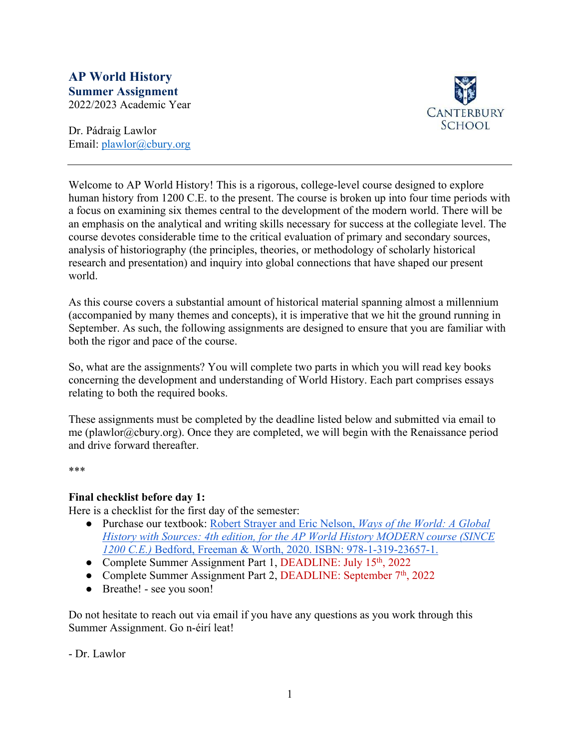# **AP World History Summer Assignment** 2022/2023 Academic Year

**CANTERBURY SCHOOL** 

Dr. Pádraig Lawlor Email: plawlor@cbury.org

Welcome to AP World History! This is a rigorous, college-level course designed to explore human history from 1200 C.E. to the present. The course is broken up into four time periods with a focus on examining six themes central to the development of the modern world. There will be an emphasis on the analytical and writing skills necessary for success at the collegiate level. The course devotes considerable time to the critical evaluation of primary and secondary sources, analysis of historiography (the principles, theories, or methodology of scholarly historical research and presentation) and inquiry into global connections that have shaped our present world.

As this course covers a substantial amount of historical material spanning almost a millennium (accompanied by many themes and concepts), it is imperative that we hit the ground running in September. As such, the following assignments are designed to ensure that you are familiar with both the rigor and pace of the course.

So, what are the assignments? You will complete two parts in which you will read key books concerning the development and understanding of World History. Each part comprises essays relating to both the required books.

These assignments must be completed by the deadline listed below and submitted via email to me (plawlor@cbury.org). Once they are completed, we will begin with the Renaissance period and drive forward thereafter.

\*\*\*

# **Final checklist before day 1:**

Here is a checklist for the first day of the semester:

- Purchase our textbook: Robert Strayer and Eric Nelson, *Ways of the World: A Global History with Sources: 4th edition, for the AP World History MODERN course (SINCE 1200 C.E.)* Bedford, Freeman & Worth, 2020. ISBN: 978-1-319-23657-1.
- Complete Summer Assignment Part 1, DEADLINE: July 15<sup>th</sup>, 2022
- Complete Summer Assignment Part 2, DEADLINE: September  $7<sup>th</sup>$ , 2022
- Breathe! see you soon!

Do not hesitate to reach out via email if you have any questions as you work through this Summer Assignment. Go n-éirí leat!

- Dr. Lawlor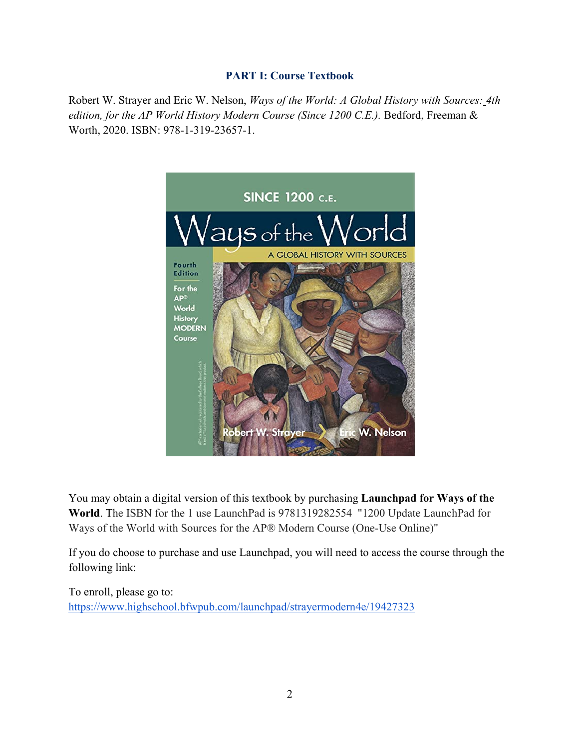# **PART I: Course Textbook**

Robert W. Strayer and Eric W. Nelson, *Ways of the World: A Global History with Sources: 4th edition, for the AP World History Modern Course (Since 1200 C.E.).* Bedford, Freeman & Worth, 2020. ISBN: 978-1-319-23657-1.



You may obtain a digital version of this textbook by purchasing **Launchpad for Ways of the World**. The ISBN for the 1 use LaunchPad is 9781319282554 "1200 Update LaunchPad for Ways of the World with Sources for the AP® Modern Course (One-Use Online)"

If you do choose to purchase and use Launchpad, you will need to access the course through the following link:

To enroll, please go to: https://www.highschool.bfwpub.com/launchpad/strayermodern4e/19427323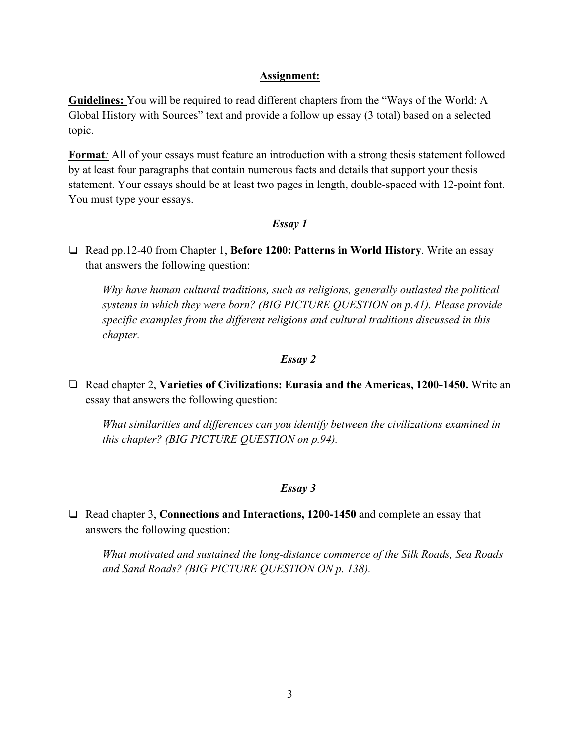### **Assignment:**

**Guidelines:** You will be required to read different chapters from the "Ways of the World: A Global History with Sources" text and provide a follow up essay (3 total) based on a selected topic.

**Format***:* All of your essays must feature an introduction with a strong thesis statement followed by at least four paragraphs that contain numerous facts and details that support your thesis statement. Your essays should be at least two pages in length, double-spaced with 12-point font. You must type your essays.

#### *Essay 1*

❏ Read pp.12-40 from Chapter 1, **Before 1200: Patterns in World History**. Write an essay that answers the following question:

*Why have human cultural traditions, such as religions, generally outlasted the political systems in which they were born? (BIG PICTURE QUESTION on p.41). Please provide specific examples from the different religions and cultural traditions discussed in this chapter.* 

#### *Essay 2*

❏ Read chapter 2, **Varieties of Civilizations: Eurasia and the Americas, 1200-1450.** Write an essay that answers the following question:

*What similarities and differences can you identify between the civilizations examined in this chapter? (BIG PICTURE QUESTION on p.94).*

#### *Essay 3*

❏ Read chapter 3, **Connections and Interactions, 1200-1450** and complete an essay that answers the following question:

*What motivated and sustained the long-distance commerce of the Silk Roads, Sea Roads and Sand Roads? (BIG PICTURE QUESTION ON p. 138).*